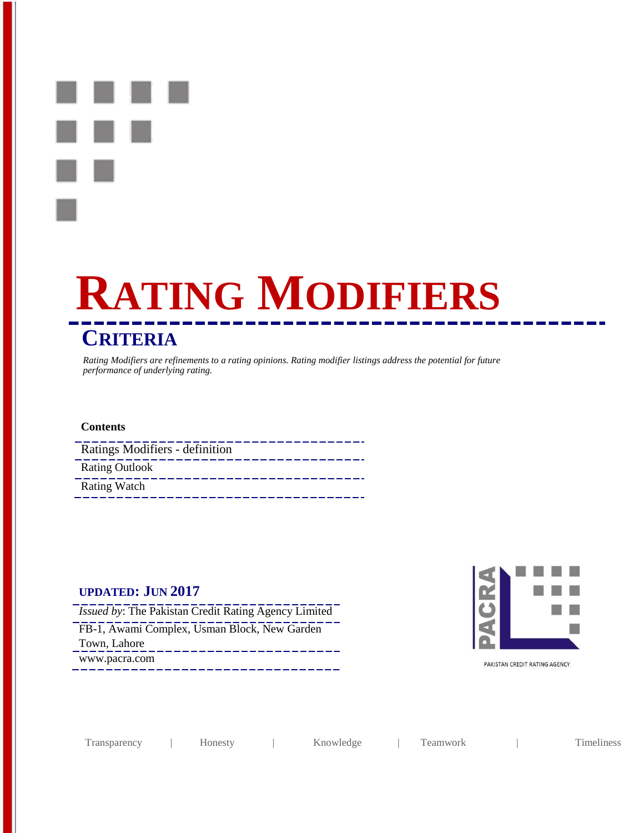

# **RATING MODIFIERS CRITERIA**

*Rating Modifiers are refinements to a rating opinions. Rating modifier listings address the potential for future performance of underlying rating.*

#### **Contents**

| Ratings Modifiers - definition |
|--------------------------------|
| <b>Rating Outlook</b>          |
| <b>Rating Watch</b>            |

# **UPDATED: JUN 2017**

*Issued by*: The Pakistan Credit Rating Agency Limited FB-1, Awami Complex, Usman Block, New Garden Town, Lahore www.pacra.com



PAKISTAN CREDIT RATING AGENCY

Transparency | Honesty | Knowledge | Teamwork | Timeliness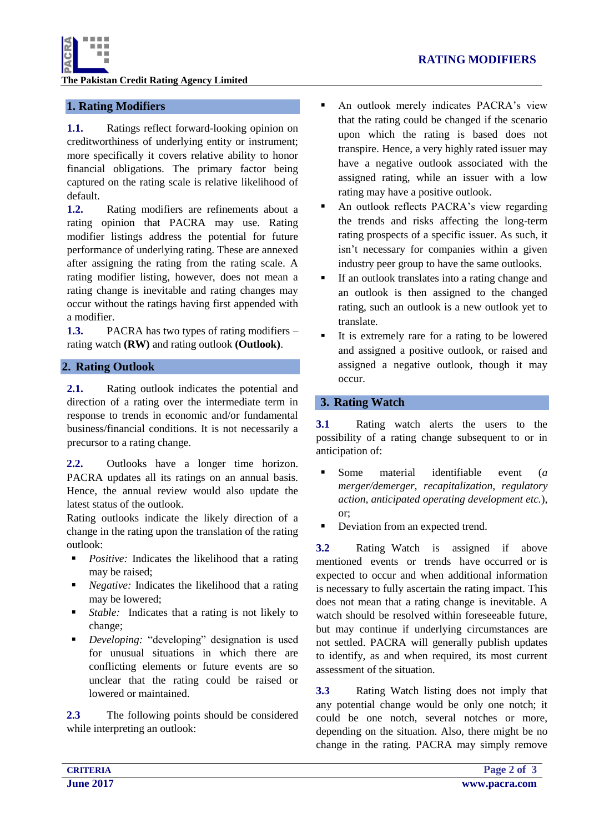

**The Pakistan Credit Rating Agency Limited**

# **1. Rating Modifiers**

**1.1.** Ratings reflect forward-looking opinion on creditworthiness of underlying entity or instrument; more specifically it covers relative ability to honor financial obligations. The primary factor being captured on the rating scale is relative likelihood of default.

**1.2.** Rating modifiers are refinements about a rating opinion that PACRA may use. Rating modifier listings address the potential for future performance of underlying rating. These are annexed after assigning the rating from the rating scale. A rating modifier listing, however, does not mean a rating change is inevitable and rating changes may occur without the ratings having first appended with a modifier.

**1.3.** PACRA has two types of rating modifiers – rating watch **(RW)** and rating outlook **(Outlook)**.

# **2. Rating Outlook**

**2.1.** Rating outlook indicates the potential and direction of a rating over the intermediate term in response to trends in economic and/or fundamental business/financial conditions. It is not necessarily a precursor to a rating change.

**2.2.** Outlooks have a longer time horizon. PACRA updates all its ratings on an annual basis. Hence, the annual review would also update the latest status of the outlook.

Rating outlooks indicate the likely direction of a change in the rating upon the translation of the rating outlook:

- **Positive:** Indicates the likelihood that a rating may be raised;
- **Negative:** Indicates the likelihood that a rating may be lowered;
- *Stable:* Indicates that a rating is not likely to change;
- *Developing:* "developing" designation is used for unusual situations in which there are conflicting elements or future events are so unclear that the rating could be raised or lowered or maintained.

**2.3** The following points should be considered while interpreting an outlook:

 An outlook merely indicates PACRA's view that the rating could be changed if the scenario upon which the rating is based does not transpire. Hence, a very highly rated issuer may have a negative outlook associated with the assigned rating, while an issuer with a low rating may have a positive outlook.

 An outlook reflects PACRA's view regarding the trends and risks affecting the long-term rating prospects of a specific issuer. As such, it isn't necessary for companies within a given industry peer group to have the same outlooks.

- If an outlook translates into a rating change and an outlook is then assigned to the changed rating, such an outlook is a new outlook yet to translate.
- It is extremely rare for a rating to be lowered and assigned a positive outlook, or raised and assigned a negative outlook, though it may occur.

## **3. Rating Watch**

**3.1** Rating watch alerts the users to the possibility of a rating change subsequent to or in anticipation of:

- Some material identifiable event (*a merger/demerger, recapitalization, regulatory action, anticipated operating development etc.*), or;
- Deviation from an expected trend.

**3.2** Rating Watch is assigned if above mentioned events or trends have occurred or is expected to occur and when additional information is necessary to fully ascertain the rating impact. This does not mean that a rating change is inevitable. A watch should be resolved within foreseeable future, but may continue if underlying circumstances are not settled. PACRA will generally publish updates to identify, as and when required, its most current assessment of the situation.

**3.3** Rating Watch listing does not imply that any potential change would be only one notch; it could be one notch, several notches or more, depending on the situation. Also, there might be no change in the rating. PACRA may simply remove